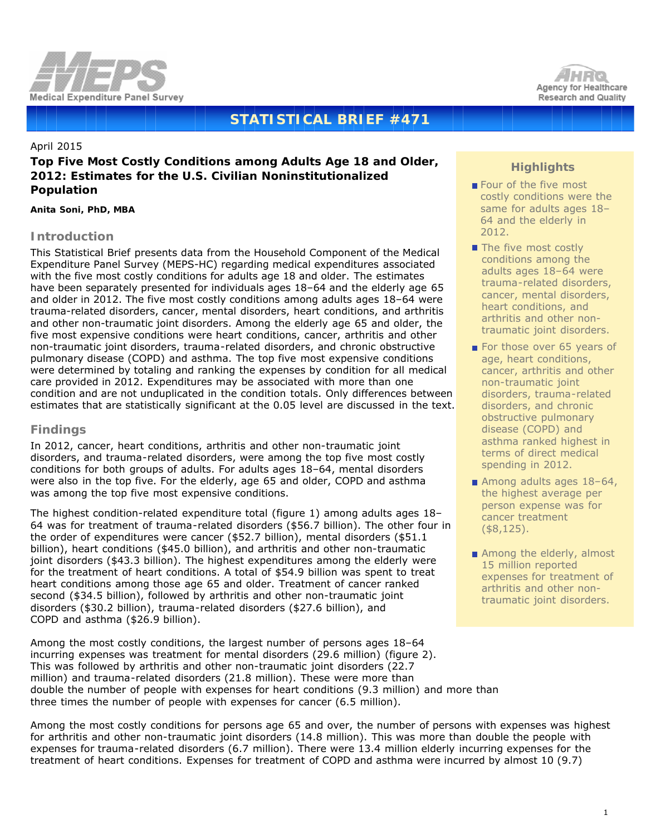



# **STATISTICAL BRIEF #471**

#### April 2015

# **Top Five Most Costly Conditions among Adults Age 18 and Older, 2012: Estimates for the U.S. Civilian Noninstitutionalized Population**

*Anita Soni, PhD, MBA*

## **Introduction**

This Statistical Brief presents data from the Household Component of the Medical Expenditure Panel Survey (MEPS-HC) regarding medical expenditures associated with the five most costly conditions for adults age 18 and older. The estimates have been separately presented for individuals ages 18-64 and the elderly age 65 and older in 2012. The five most costly conditions among adults ages 18–64 were trauma-related disorders, cancer, mental disorders, heart conditions, and arthritis and other non-traumatic joint disorders. Among the elderly age 65 and older, the five most expensive conditions were heart conditions, cancer, arthritis and other non-traumatic joint disorders, trauma-related disorders, and chronic obstructive pulmonary disease (COPD) and asthma. The top five most expensive conditions were determined by totaling and ranking the expenses by condition for all medical care provided in 2012. Expenditures may be associated with more than one condition and are not unduplicated in the condition totals. Only differences between estimates that are statistically significant at the 0.05 level are discussed in the text.

## **Findings**

In 2012, cancer, heart conditions, arthritis and other non-traumatic joint disorders, and trauma-related disorders, were among the top five most costly conditions for both groups of adults. For adults ages 18–64, mental disorders were also in the top five. For the elderly, age 65 and older, COPD and asthma was among the top five most expensive conditions.

The highest condition-related expenditure total (figure 1) among adults ages 18– 64 was for treatment of trauma-related disorders (\$56.7 billion). The other four in the order of expenditures were cancer (\$52.7 billion), mental disorders (\$51.1 billion), heart conditions (\$45.0 billion), and arthritis and other non-traumatic joint disorders (\$43.3 billion). The highest expenditures among the elderly were for the treatment of heart conditions. A total of \$54.9 billion was spent to treat heart conditions among those age 65 and older. Treatment of cancer ranked second (\$34.5 billion), followed by arthritis and other non-traumatic joint disorders (\$30.2 billion), trauma-related disorders (\$27.6 billion), and COPD and asthma (\$26.9 billion).

Among the most costly conditions, the largest number of persons ages 18–64 incurring expenses was treatment for mental disorders (29.6 million) (figure 2). This was followed by arthritis and other non-traumatic joint disorders (22.7 million) and trauma-related disorders (21.8 million). These were more than double the number of people with expenses for heart conditions (9.3 million) and more than three times the number of people with expenses for cancer (6.5 million).

Among the most costly conditions for persons age 65 and over, the number of persons with expenses was highest for arthritis and other non-traumatic joint disorders (14.8 million). This was more than double the people with expenses for trauma-related disorders (6.7 million). There were 13.4 million elderly incurring expenses for the treatment of heart conditions. Expenses for treatment of COPD and asthma were incurred by almost 10 (9.7)

## **Highlights**

- Four of the five most costly conditions were the same for adults ages 18– 64 and the elderly in 2012.
- The five most costly conditions among the adults ages 18–64 were trauma-related disorders, cancer, mental disorders, heart conditions, and arthritis and other nontraumatic joint disorders.
- For those over 65 years of age, heart conditions, cancer, arthritis and other non-traumatic joint disorders, trauma-related disorders, and chronic obstructive pulmonary disease (COPD) and asthma ranked highest in terms of direct medical spending in 2012.
- Among adults ages 18-64, the highest average per person expense was for cancer treatment (\$8,125).
- Among the elderly, almost 15 million reported expenses for treatment of arthritis and other nontraumatic joint disorders.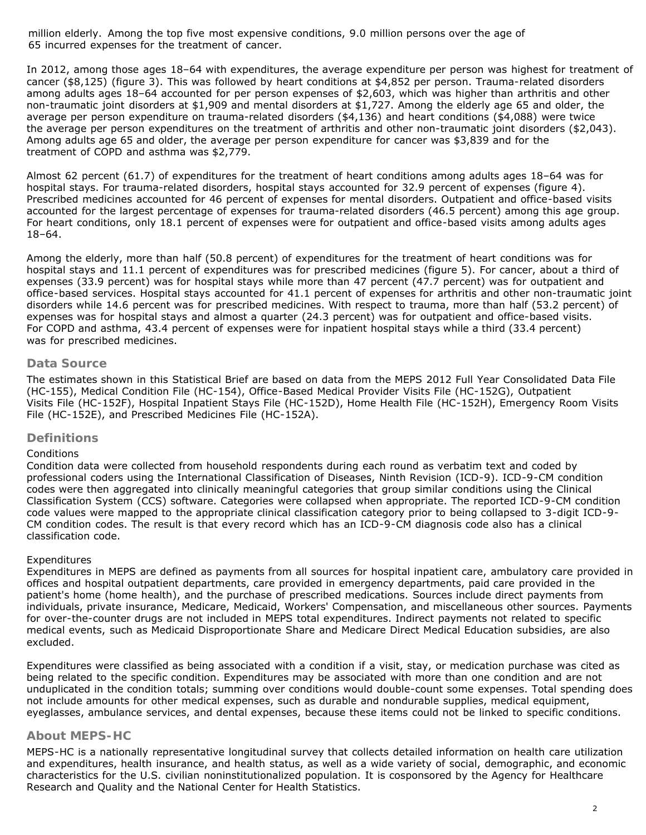million elderly. Among the top five most expensive conditions, 9.0 million persons over the age of 65 incurred expenses for the treatment of cancer.

In 2012, among those ages 18–64 with expenditures, the average expenditure per person was highest for treatment of cancer (\$8,125) (figure 3). This was followed by heart conditions at \$4,852 per person. Trauma-related disorders among adults ages 18–64 accounted for per person expenses of \$2,603, which was higher than arthritis and other non-traumatic joint disorders at \$1,909 and mental disorders at \$1,727. Among the elderly age 65 and older, the average per person expenditure on trauma-related disorders (\$4,136) and heart conditions (\$4,088) were twice the average per person expenditures on the treatment of arthritis and other non-traumatic joint disorders (\$2,043). Among adults age 65 and older, the average per person expenditure for cancer was \$3,839 and for the treatment of COPD and asthma was \$2,779.

Almost 62 percent (61.7) of expenditures for the treatment of heart conditions among adults ages 18–64 was for hospital stays. For trauma-related disorders, hospital stays accounted for 32.9 percent of expenses (figure 4). Prescribed medicines accounted for 46 percent of expenses for mental disorders. Outpatient and office-based visits accounted for the largest percentage of expenses for trauma-related disorders (46.5 percent) among this age group. For heart conditions, only 18.1 percent of expenses were for outpatient and office-based visits among adults ages 18–64.

Among the elderly, more than half (50.8 percent) of expenditures for the treatment of heart conditions was for hospital stays and 11.1 percent of expenditures was for prescribed medicines (figure 5). For cancer, about a third of expenses (33.9 percent) was for hospital stays while more than 47 percent (47.7 percent) was for outpatient and office-based services. Hospital stays accounted for 41.1 percent of expenses for arthritis and other non-traumatic joint disorders while 14.6 percent was for prescribed medicines. With respect to trauma, more than half (53.2 percent) of expenses was for hospital stays and almost a quarter (24.3 percent) was for outpatient and office-based visits. For COPD and asthma, 43.4 percent of expenses were for inpatient hospital stays while a third (33.4 percent) was for prescribed medicines.

#### **Data Source**

The estimates shown in this Statistical Brief are based on data from the MEPS 2012 Full Year Consolidated Data File (HC-155), Medical Condition File (HC-154), Office-Based Medical Provider Visits File (HC-152G), Outpatient Visits File (HC-152F), Hospital Inpatient Stays File (HC-152D), Home Health File (HC-152H), Emergency Room Visits File (HC-152E), and Prescribed Medicines File (HC-152A).

## **Definitions**

#### *Conditions*

Condition data were collected from household respondents during each round as verbatim text and coded by professional coders using the International Classification of Diseases, Ninth Revision (ICD-9). ICD-9-CM condition codes were then aggregated into clinically meaningful categories that group similar conditions using the Clinical Classification System (CCS) software. Categories were collapsed when appropriate. The reported ICD-9-CM condition code values were mapped to the appropriate clinical classification category prior to being collapsed to 3-digit ICD-9- CM condition codes. The result is that every record which has an ICD-9-CM diagnosis code also has a clinical classification code.

#### *Expenditures*

Expenditures in MEPS are defined as payments from all sources for hospital inpatient care, ambulatory care provided in offices and hospital outpatient departments, care provided in emergency departments, paid care provided in the patient's home (home health), and the purchase of prescribed medications. Sources include direct payments from individuals, private insurance, Medicare, Medicaid, Workers' Compensation, and miscellaneous other sources. Payments for over-the-counter drugs are not included in MEPS total expenditures. Indirect payments not related to specific medical events, such as Medicaid Disproportionate Share and Medicare Direct Medical Education subsidies, are also excluded.

Expenditures were classified as being associated with a condition if a visit, stay, or medication purchase was cited as being related to the specific condition. Expenditures may be associated with more than one condition and are not unduplicated in the condition totals; summing over conditions would double-count some expenses. Total spending does not include amounts for other medical expenses, such as durable and nondurable supplies, medical equipment, eyeglasses, ambulance services, and dental expenses, because these items could not be linked to specific conditions.

#### **About MEPS-HC**

MEPS-HC is a nationally representative longitudinal survey that collects detailed information on health care utilization and expenditures, health insurance, and health status, as well as a wide variety of social, demographic, and economic characteristics for the U.S. civilian noninstitutionalized population. It is cosponsored by the Agency for Healthcare Research and Quality and the National Center for Health Statistics.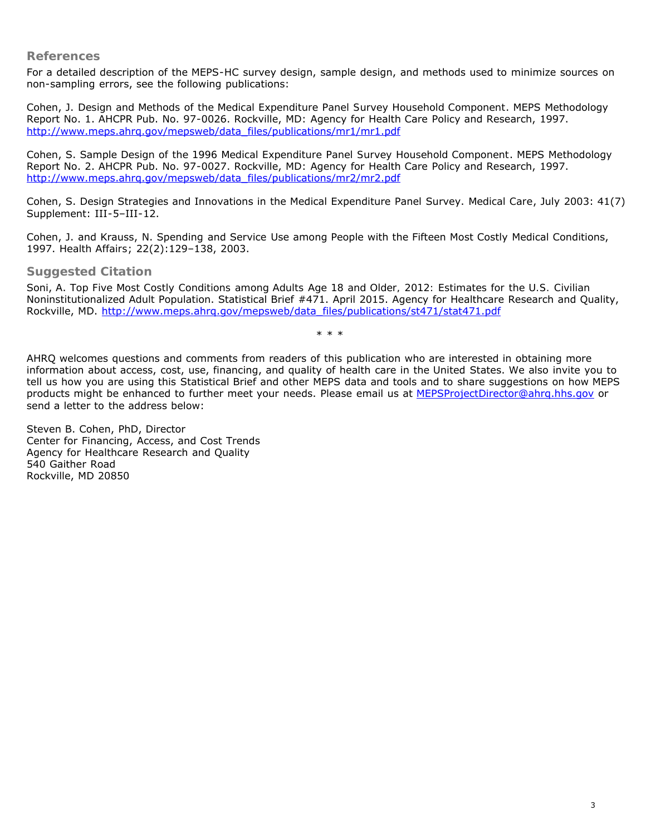### **References**

For a detailed description of the MEPS-HC survey design, sample design, and methods used to minimize sources on non-sampling errors, see the following publications:

Cohen, J. *Design and Methods of the Medical Expenditure Panel Survey Household Component*. MEPS Methodology Report No. 1. AHCPR Pub. No. 97-0026. Rockville, MD: Agency for Health Care Policy and Research, 1997. [http://www.meps.ahrq.gov/mepsweb/data\\_files/publications/mr1/mr1.pdf](http://www.meps.ahrq.gov/mepsweb/data_files/publications/mr1/mr1.pdf)

Cohen, S. Sample *Design of the 1996 Medical Expenditure Panel Survey Household Component*. MEPS Methodology Report No. 2. AHCPR Pub. No. 97-0027. Rockville, MD: Agency for Health Care Policy and Research, 1997. [http://www.meps.ahrq.gov/mepsweb/data\\_files/publications/mr2/mr2.pdf](http://www.meps.ahrq.gov/mepsweb/data_files/publications/mr2/mr2.pdf)

Cohen, S. Design Strategies and Innovations in the Medical Expenditure Panel Survey. *Medical Care*, July 2003: 41(7) Supplement: III-5–III-12.

Cohen, J. and Krauss, N. Spending and Service Use among People with the Fifteen Most Costly Medical Conditions, 1997. *Health Affairs*; 22(2):129–138, 2003.

## **Suggested Citation**

Soni, A. *Top Five Most Costly Conditions among Adults Age 18 and Older, 2012: Estimates for the U.S. Civilian Noninstitutionalized Adult Population*. Statistical Brief #471. April 2015. Agency for Healthcare Research and Quality, Rockville, MD. [http://www.meps.ahrq.gov/mepsweb/data\\_files/publications/st471/stat471.pdf](http://www.meps.ahrq.gov/mepsweb/data_files/publications/st471/stat471.pdf)

\* \* \*

AHRQ welcomes questions and comments from readers of this publication who are interested in obtaining more information about access, cost, use, financing, and quality of health care in the United States. We also invite you to tell us how you are using this Statistical Brief and other MEPS data and tools and to share suggestions on how MEPS products might be enhanced to further meet your needs. Please email us at [MEPSProjectDirector@ahrq.hhs.gov](mailto:MEPSProjectDirector@ahrq.hhs.gov) or send a letter to the address below:

Steven B. Cohen, PhD, Director Center for Financing, Access, and Cost Trends Agency for Healthcare Research and Quality 540 Gaither Road Rockville, MD 20850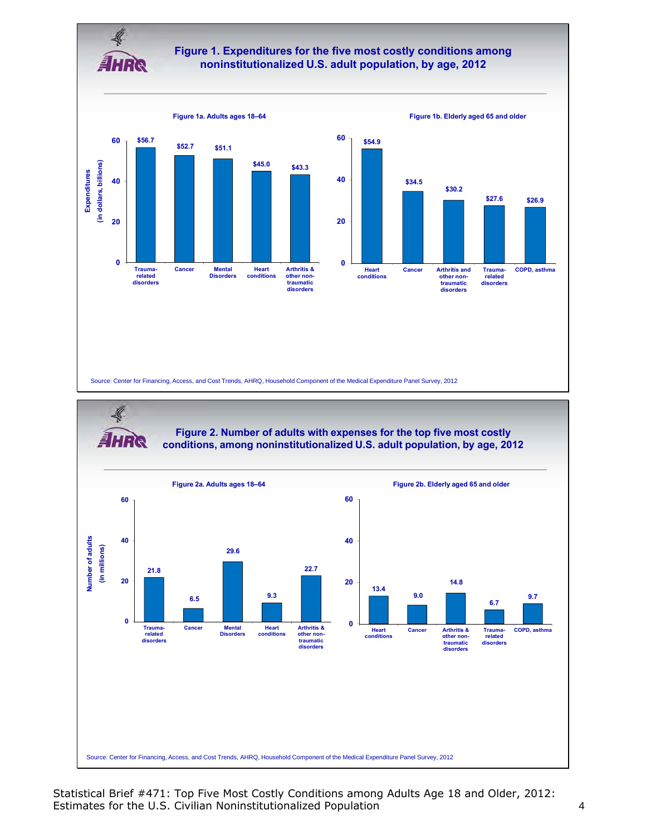

## **Figure 1. Expenditures for the five most costly conditions among noninstitutionalized U.S. adult population, by age, 2012**





Statistical Brief #471: Top Five Most Costly Conditions among Adults Age 18 and Older, 2012: Estimates for the U.S. Civilian Noninstitutionalized Population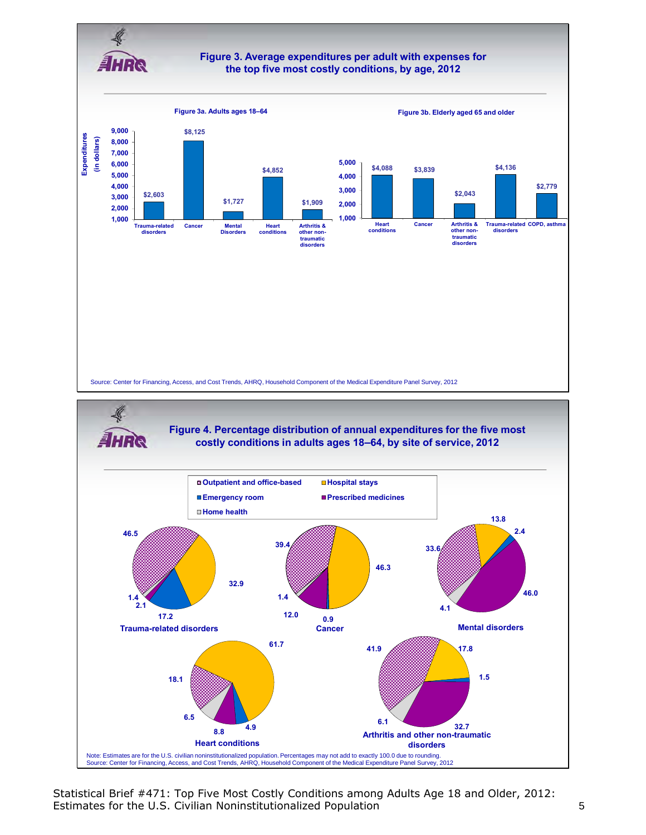

Note: Estimates are for the U.S. civilian noninstitutionalized population. Percentages may not add to exactly 100.0 due to rounding.<br>Source: Center for Financing, Access, and Cost Trends, AHRQ, Household Component of the M

Statistical Brief #471: Top Five Most Costly Conditions among Adults Age 18 and Older, 2012: Estimates for the U.S. Civilian Noninstitutionalized Population 5